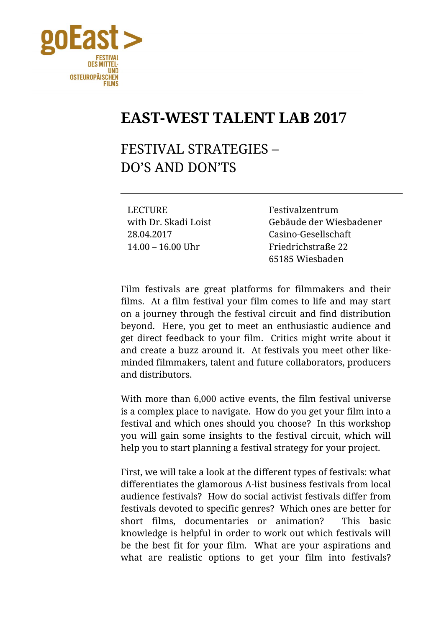

## **EAST-WEST TALENT LAB 2017**

## FESTIVAL STRATEGIES – DO'S AND DON'TS

LECTURE Festivalzentrum 28.04.2017 Casino-Gesellschaft 14.00 – 16.00 Uhr Friedrichstraße 22

with Dr. Skadi Loist Gebäude der Wiesbadener 65185 Wiesbaden

Film festivals are great platforms for filmmakers and their films. At a film festival your film comes to life and may start on a journey through the festival circuit and find distribution beyond. Here, you get to meet an enthusiastic audience and get direct feedback to your film. Critics might write about it and create a buzz around it. At festivals you meet other likeminded filmmakers, talent and future collaborators, producers and distributors.

With more than 6,000 active events, the film festival universe is a complex place to navigate. How do you get your film into a festival and which ones should you choose? In this workshop you will gain some insights to the festival circuit, which will help you to start planning a festival strategy for your project.

First, we will take a look at the different types of festivals: what differentiates the glamorous A-list business festivals from local audience festivals? How do social activist festivals differ from festivals devoted to specific genres? Which ones are better for short films, documentaries or animation? This basic knowledge is helpful in order to work out which festivals will be the best fit for your film. What are your aspirations and what are realistic options to get your film into festivals?